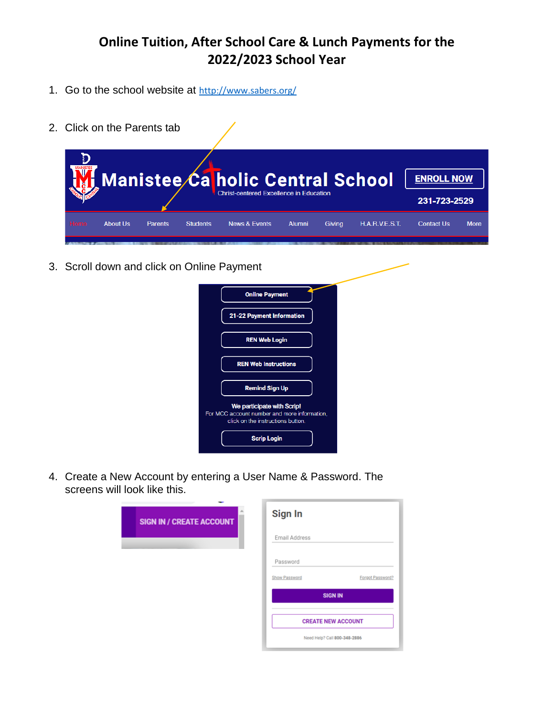- 1. Go to the school website at <http://www.sabers.org/>
- 2. Click on the Parents tab

|      |          |                |                 | Manistee Ca holic Central School<br>Christ-centered Excellence in Education |               |        |                       | <b>ENROLL NOW</b><br>231-723-2529 |             |
|------|----------|----------------|-----------------|-----------------------------------------------------------------------------|---------------|--------|-----------------------|-----------------------------------|-------------|
| Home | About Us | <b>Parents</b> | <b>Students</b> | <b>News &amp; Events</b>                                                    | <b>Alumni</b> | Giving | <b>H.A.R.V.E.S.T.</b> | <b>Contact Us</b>                 | <b>More</b> |

3. Scroll down and click on Online Payment

| <b>Online Payment</b>                                                                                           |
|-----------------------------------------------------------------------------------------------------------------|
| 21-22 Payment Information                                                                                       |
| <b>REN Web Login</b>                                                                                            |
| <b>REN Web Instructions</b>                                                                                     |
| <b>Remind Sign Up</b>                                                                                           |
| We participate with Scrip!<br>For MCC account number and more information,<br>click on the instructions button. |
| <b>Scrip Login</b>                                                                                              |

4. Create a New Account by entering a User Name & Password. The screens will look like this.

| <b>SIGN IN / CREATE ACCOUNT</b> | Sign In                      |                  |
|---------------------------------|------------------------------|------------------|
|                                 | Email Address                |                  |
|                                 | Password                     |                  |
|                                 | Show Password                | Forgot Password? |
|                                 | <b>SIGN IN</b>               |                  |
|                                 | <b>CREATE NEW ACCOUNT</b>    |                  |
|                                 | Need Help? Call 800-348-2886 |                  |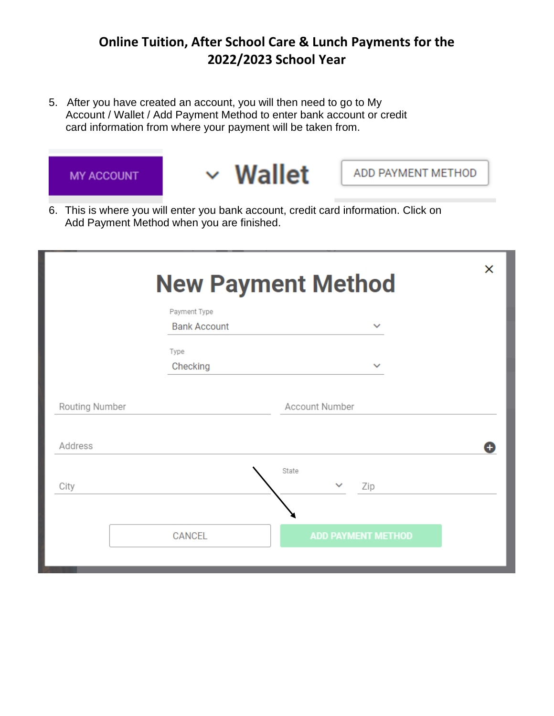5. After you have created an account, you will then need to go to My Account / Wallet / Add Payment Method to enter bank account or credit card information from where your payment will be taken from.



6. This is where you will enter you bank account, credit card information. Click on Add Payment Method when you are finished.

|                | <b>New Payment Method</b>           | X                            |   |
|----------------|-------------------------------------|------------------------------|---|
|                | Payment Type<br><b>Bank Account</b> | $\checkmark$                 |   |
|                | Type<br>Checking                    | $\checkmark$                 |   |
| Routing Number |                                     | Account Number               |   |
| Address        |                                     |                              | Θ |
| City           |                                     | State<br>$\checkmark$<br>Zip |   |
|                | <b>CANCEL</b>                       | <b>ADD PAYMENT METHOD</b>    |   |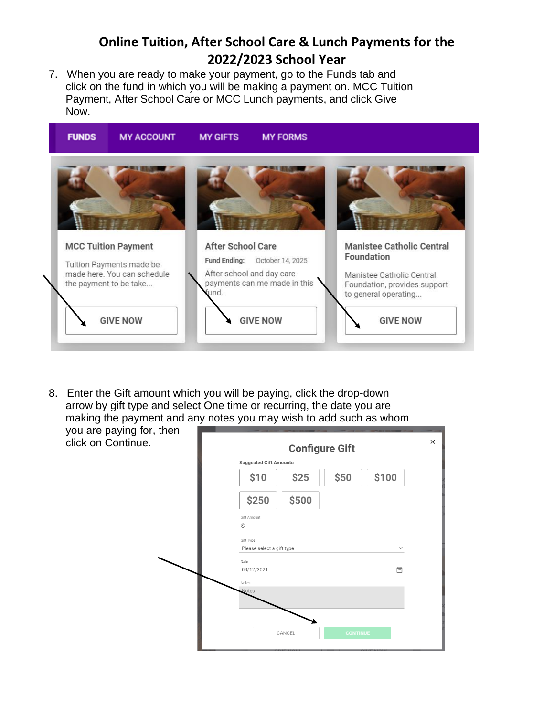7. When you are ready to make your payment, go to the Funds tab and click on the fund in which you will be making a payment on. MCC Tuition Payment, After School Care or MCC Lunch payments, and click Give Now.



8. Enter the Gift amount which you will be paying, click the drop-down arrow by gift type and select One time or recurring, the date you are making the payment and any notes you may wish to add such as whom

you are paying for, then click on Continue.

| <b>Suggested Gift Amounts</b> | <b>Configure Gift</b> |      |              |  |  |
|-------------------------------|-----------------------|------|--------------|--|--|
| \$10                          | \$25                  | \$50 | \$100        |  |  |
| \$250                         | \$500                 |      |              |  |  |
| Gift Amount<br>\$             |                       |      |              |  |  |
| Gift Type                     |                       |      |              |  |  |
| Please select a gift type     |                       |      | $\checkmark$ |  |  |
| Date<br>08/12/2021            |                       |      | 崮            |  |  |
| Notes<br><b>Notes</b>         |                       |      |              |  |  |
|                               |                       |      |              |  |  |
|                               |                       |      |              |  |  |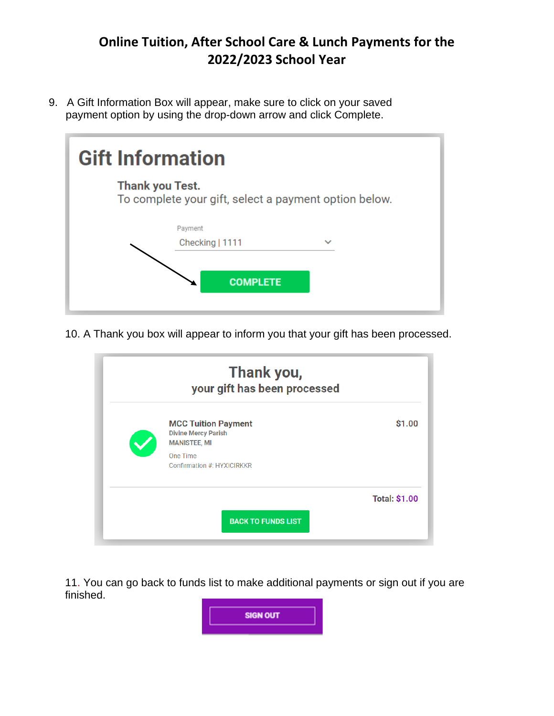9. A Gift Information Box will appear, make sure to click on your saved payment option by using the drop-down arrow and click Complete.

|                        | <b>Gift Information</b>                               |  |  |  |  |  |
|------------------------|-------------------------------------------------------|--|--|--|--|--|
| <b>Thank you Test.</b> | To complete your gift, select a payment option below. |  |  |  |  |  |
|                        | Payment<br>Checking   1111<br><b>COMPLETE</b>         |  |  |  |  |  |

10. A Thank you box will appear to inform you that your gift has been processed.

| Thank you,<br>your gift has been processed                                                                                |                      |
|---------------------------------------------------------------------------------------------------------------------------|----------------------|
| <b>MCC Tuition Payment</b><br><b>Divine Mercy Parish</b><br><b>MANISTEE, MI</b><br>One Time<br>Confirmation #: HYXICIRKKR | \$1.00               |
| <b>BACK TO FUNDS LIST</b>                                                                                                 | <b>Total: \$1.00</b> |

11. You can go back to funds list to make additional payments or sign out if you are finished.